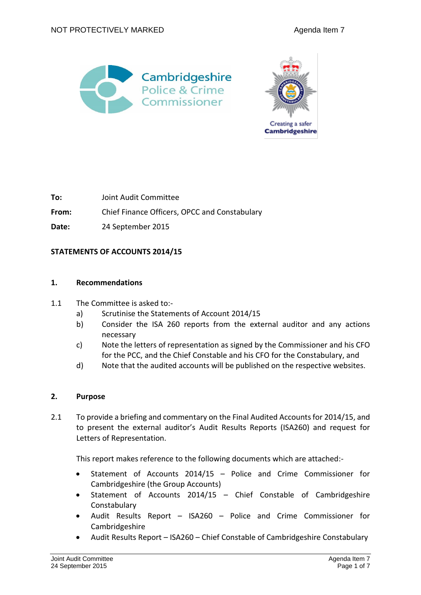



**To:** Joint Audit Committee

**From:** Chief Finance Officers, OPCC and Constabulary

**Date:** 24 September 2015

### **STATEMENTS OF ACCOUNTS 2014/15**

#### **1. Recommendations**

- 1.1 The Committee is asked to:
	- a) Scrutinise the Statements of Account 2014/15
	- b) Consider the ISA 260 reports from the external auditor and any actions necessary
	- c) Note the letters of representation as signed by the Commissioner and his CFO for the PCC, and the Chief Constable and his CFO for the Constabulary, and
	- d) Note that the audited accounts will be published on the respective websites.

### **2. Purpose**

2.1 To provide a briefing and commentary on the Final Audited Accounts for 2014/15, and to present the external auditor's Audit Results Reports (ISA260) and request for Letters of Representation.

This report makes reference to the following documents which are attached:-

- Statement of Accounts 2014/15 Police and Crime Commissioner for Cambridgeshire (the Group Accounts)
- Statement of Accounts 2014/15 Chief Constable of Cambridgeshire **Constabulary**
- Audit Results Report ISA260 Police and Crime Commissioner for Cambridgeshire
- Audit Results Report ISA260 Chief Constable of Cambridgeshire Constabulary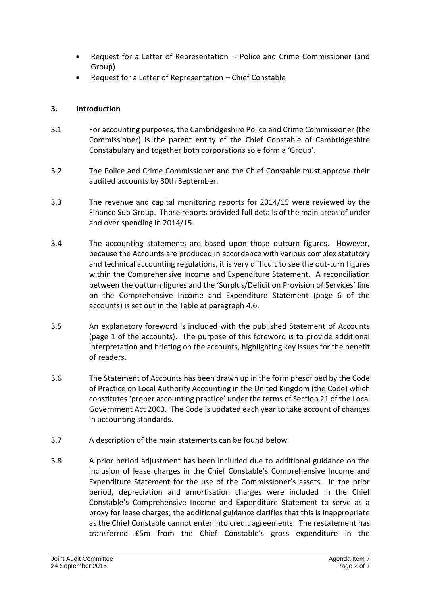- Request for a Letter of Representation Police and Crime Commissioner (and Group)
- Request for a Letter of Representation Chief Constable

# **3. Introduction**

- 3.1 For accounting purposes, the Cambridgeshire Police and Crime Commissioner (the Commissioner) is the parent entity of the Chief Constable of Cambridgeshire Constabulary and together both corporations sole form a 'Group'.
- 3.2 The Police and Crime Commissioner and the Chief Constable must approve their audited accounts by 30th September.
- 3.3 The revenue and capital monitoring reports for 2014/15 were reviewed by the Finance Sub Group. Those reports provided full details of the main areas of under and over spending in 2014/15.
- 3.4 The accounting statements are based upon those outturn figures. However, because the Accounts are produced in accordance with various complex statutory and technical accounting regulations, it is very difficult to see the out-turn figures within the Comprehensive Income and Expenditure Statement. A reconciliation between the outturn figures and the 'Surplus/Deficit on Provision of Services' line on the Comprehensive Income and Expenditure Statement (page 6 of the accounts) is set out in the Table at paragraph 4.6.
- 3.5 An explanatory foreword is included with the published Statement of Accounts (page 1 of the accounts). The purpose of this foreword is to provide additional interpretation and briefing on the accounts, highlighting key issues for the benefit of readers.
- 3.6 The Statement of Accounts has been drawn up in the form prescribed by the Code of Practice on Local Authority Accounting in the United Kingdom (the Code) which constitutes 'proper accounting practice' under the terms of Section 21 of the Local Government Act 2003. The Code is updated each year to take account of changes in accounting standards.
- 3.7 A description of the main statements can be found below.
- 3.8 A prior period adjustment has been included due to additional guidance on the inclusion of lease charges in the Chief Constable's Comprehensive Income and Expenditure Statement for the use of the Commissioner's assets. In the prior period, depreciation and amortisation charges were included in the Chief Constable's Comprehensive Income and Expenditure Statement to serve as a proxy for lease charges; the additional guidance clarifies that this is inappropriate as the Chief Constable cannot enter into credit agreements. The restatement has transferred £5m from the Chief Constable's gross expenditure in the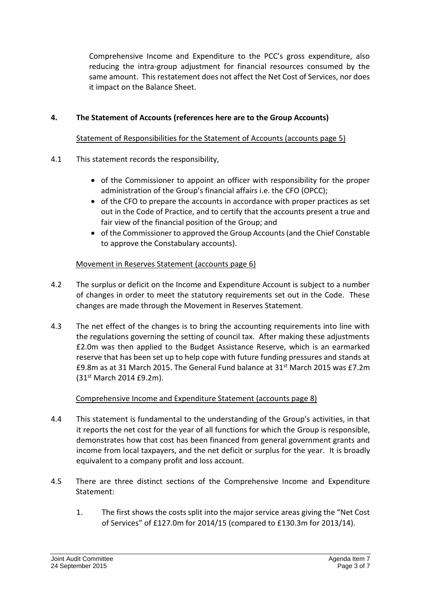Comprehensive Income and Expenditure to the PCC's gross expenditure, also reducing the intra-group adjustment for financial resources consumed by the same amount. This restatement does not affect the Net Cost of Services, nor does it impact on the Balance Sheet.

# **4. The Statement of Accounts (references here are to the Group Accounts)**

# Statement of Responsibilities for the Statement of Accounts (accounts page 5)

- 4.1 This statement records the responsibility,
	- of the Commissioner to appoint an officer with responsibility for the proper administration of the Group's financial affairs i.e. the CFO (OPCC);
	- of the CFO to prepare the accounts in accordance with proper practices as set out in the Code of Practice, and to certify that the accounts present a true and fair view of the financial position of the Group; and
	- of the Commissioner to approved the Group Accounts (and the Chief Constable to approve the Constabulary accounts).

# Movement in Reserves Statement (accounts page 6)

- 4.2 The surplus or deficit on the Income and Expenditure Account is subject to a number of changes in order to meet the statutory requirements set out in the Code. These changes are made through the Movement in Reserves Statement.
- 4.3 The net effect of the changes is to bring the accounting requirements into line with the regulations governing the setting of council tax. After making these adjustments £2.0m was then applied to the Budget Assistance Reserve, which is an earmarked reserve that has been set up to help cope with future funding pressures and stands at £9.8m as at 31 March 2015. The General Fund balance at 31st March 2015 was £7.2m (31st March 2014 £9.2m).

### Comprehensive Income and Expenditure Statement (accounts page 8)

- 4.4 This statement is fundamental to the understanding of the Group's activities, in that it reports the net cost for the year of all functions for which the Group is responsible, demonstrates how that cost has been financed from general government grants and income from local taxpayers, and the net deficit or surplus for the year. It is broadly equivalent to a company profit and loss account.
- 4.5 There are three distinct sections of the Comprehensive Income and Expenditure Statement:
	- 1. The first shows the costs split into the major service areas giving the "Net Cost of Services" of £127.0m for 2014/15 (compared to £130.3m for 2013/14).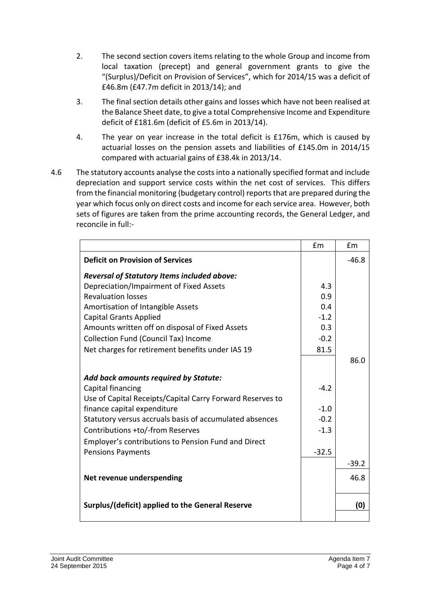- 2. The second section covers items relating to the whole Group and income from local taxation (precept) and general government grants to give the "(Surplus)/Deficit on Provision of Services", which for 2014/15 was a deficit of £46.8m (£47.7m deficit in 2013/14); and
- 3. The final section details other gains and losses which have not been realised at the Balance Sheet date, to give a total Comprehensive Income and Expenditure deficit of £181.6m (deficit of £5.6m in 2013/14).
- 4. The year on year increase in the total deficit is £176m, which is caused by actuarial losses on the pension assets and liabilities of £145.0m in 2014/15 compared with actuarial gains of £38.4k in 2013/14.
- 4.6 The statutory accounts analyse the costs into a nationally specified format and include depreciation and support service costs within the net cost of services. This differs from the financial monitoring (budgetary control) reports that are prepared during the year which focus only on direct costs and income for each service area. However, both sets of figures are taken from the prime accounting records, the General Ledger, and reconcile in full:-

|                                                           | £m      | £m      |
|-----------------------------------------------------------|---------|---------|
| <b>Deficit on Provision of Services</b>                   |         | $-46.8$ |
| <b>Reversal of Statutory Items included above:</b>        |         |         |
| Depreciation/Impairment of Fixed Assets                   | 4.3     |         |
| <b>Revaluation losses</b>                                 | 0.9     |         |
| Amortisation of Intangible Assets                         | 0.4     |         |
| <b>Capital Grants Applied</b>                             | $-1.2$  |         |
| Amounts written off on disposal of Fixed Assets           | 0.3     |         |
| Collection Fund (Council Tax) Income                      | $-0.2$  |         |
| Net charges for retirement benefits under IAS 19          | 81.5    |         |
|                                                           |         | 86.0    |
| <b>Add back amounts required by Statute:</b>              |         |         |
| Capital financing                                         | $-4.2$  |         |
| Use of Capital Receipts/Capital Carry Forward Reserves to |         |         |
| finance capital expenditure                               | $-1.0$  |         |
| Statutory versus accruals basis of accumulated absences   | $-0.2$  |         |
| Contributions +to/-from Reserves                          | $-1.3$  |         |
| Employer's contributions to Pension Fund and Direct       |         |         |
| <b>Pensions Payments</b>                                  | $-32.5$ |         |
|                                                           |         | $-39.2$ |
| Net revenue underspending                                 |         | 46.8    |
|                                                           |         |         |
| Surplus/(deficit) applied to the General Reserve          |         | (0)     |
|                                                           |         |         |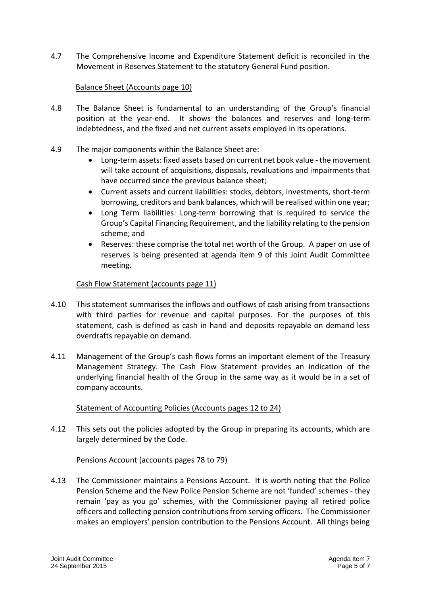4.7 The Comprehensive Income and Expenditure Statement deficit is reconciled in the Movement in Reserves Statement to the statutory General Fund position.

# Balance Sheet (Accounts page 10)

- 4.8 The Balance Sheet is fundamental to an understanding of the Group's financial position at the year-end. It shows the balances and reserves and long-term indebtedness, and the fixed and net current assets employed in its operations.
- 4.9 The major components within the Balance Sheet are:
	- Long-term assets: fixed assets based on current net book value the movement will take account of acquisitions, disposals, revaluations and impairments that have occurred since the previous balance sheet;
	- Current assets and current liabilities: stocks, debtors, investments, short-term borrowing, creditors and bank balances, which will be realised within one year;
	- Long Term liabilities: Long-term borrowing that is required to service the Group's Capital Financing Requirement, and the liability relating to the pension scheme; and
	- Reserves: these comprise the total net worth of the Group. A paper on use of reserves is being presented at agenda item 9 of this Joint Audit Committee meeting.

# Cash Flow Statement (accounts page 11)

- 4.10 This statement summarises the inflows and outflows of cash arising from transactions with third parties for revenue and capital purposes. For the purposes of this statement, cash is defined as cash in hand and deposits repayable on demand less overdrafts repayable on demand.
- 4.11 Management of the Group's cash flows forms an important element of the Treasury Management Strategy. The Cash Flow Statement provides an indication of the underlying financial health of the Group in the same way as it would be in a set of company accounts.

### Statement of Accounting Policies (Accounts pages 12 to 24)

4.12 This sets out the policies adopted by the Group in preparing its accounts, which are largely determined by the Code.

### Pensions Account (accounts pages 78 to 79)

4.13 The Commissioner maintains a Pensions Account. It is worth noting that the Police Pension Scheme and the New Police Pension Scheme are not 'funded' schemes - they remain 'pay as you go' schemes, with the Commissioner paying all retired police officers and collecting pension contributions from serving officers. The Commissioner makes an employers' pension contribution to the Pensions Account. All things being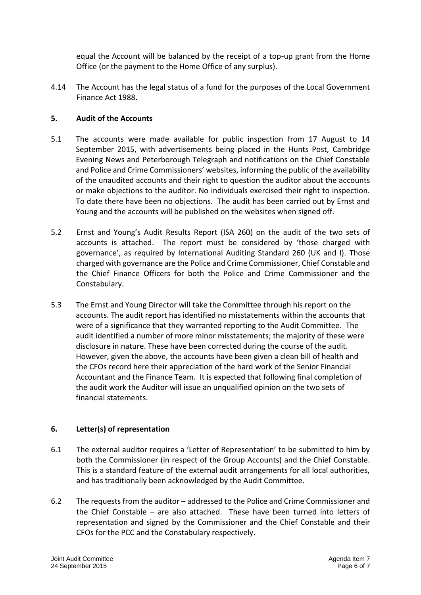equal the Account will be balanced by the receipt of a top-up grant from the Home Office (or the payment to the Home Office of any surplus).

4.14 The Account has the legal status of a fund for the purposes of the Local Government Finance Act 1988.

# **5. Audit of the Accounts**

- 5.1 The accounts were made available for public inspection from 17 August to 14 September 2015, with advertisements being placed in the Hunts Post, Cambridge Evening News and Peterborough Telegraph and notifications on the Chief Constable and Police and Crime Commissioners' websites, informing the public of the availability of the unaudited accounts and their right to question the auditor about the accounts or make objections to the auditor. No individuals exercised their right to inspection. To date there have been no objections. The audit has been carried out by Ernst and Young and the accounts will be published on the websites when signed off.
- 5.2 Ernst and Young's Audit Results Report (ISA 260) on the audit of the two sets of accounts is attached. The report must be considered by 'those charged with governance', as required by International Auditing Standard 260 (UK and I). Those charged with governance are the Police and Crime Commissioner, Chief Constable and the Chief Finance Officers for both the Police and Crime Commissioner and the Constabulary.
- 5.3 The Ernst and Young Director will take the Committee through his report on the accounts. The audit report has identified no misstatements within the accounts that were of a significance that they warranted reporting to the Audit Committee. The audit identified a number of more minor misstatements; the majority of these were disclosure in nature. These have been corrected during the course of the audit. However, given the above, the accounts have been given a clean bill of health and the CFOs record here their appreciation of the hard work of the Senior Financial Accountant and the Finance Team. It is expected that following final completion of the audit work the Auditor will issue an unqualified opinion on the two sets of financial statements.

# **6. Letter(s) of representation**

- 6.1 The external auditor requires a 'Letter of Representation' to be submitted to him by both the Commissioner (in respect of the Group Accounts) and the Chief Constable. This is a standard feature of the external audit arrangements for all local authorities, and has traditionally been acknowledged by the Audit Committee.
- 6.2 The requests from the auditor addressed to the Police and Crime Commissioner and the Chief Constable – are also attached. These have been turned into letters of representation and signed by the Commissioner and the Chief Constable and their CFOs for the PCC and the Constabulary respectively.